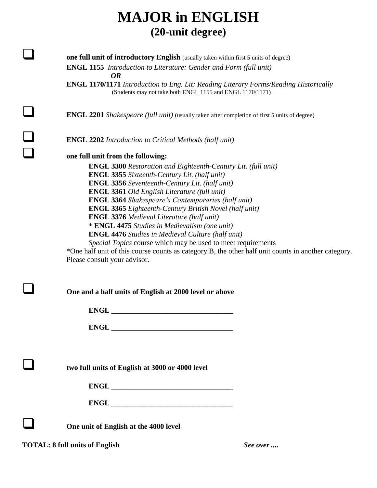## **MAJOR in ENGLISH (20-unit degree)**

**one full unit of introductory English** (usually taken within first 5 units of degree) **ENGL 1155** *Introduction to Literature: Gender and Form (full unit) OR*

**ENGL 1170/1171** *Introduction to Eng. Lit: Reading Literary Forms/Reading Historically* (Students may not take both ENGL 1155 and ENGL 1170/1171)

**ENGL 2201** *Shakespeare (full unit)* (usually taken after completion of first 5 units of degree)

**ENGL 2202** *Introduction to Critical Methods (half unit)* 

## **one full unit from the following:**

**ENGL 3300** *Restoration and Eighteenth-Century Lit. (full unit)* **ENGL 3355** *Sixteenth-Century Lit. (half unit)*  **ENGL 3356** *Seventeenth-Century Lit. (half unit)*  **ENGL 3361** *Old English Literature (full unit)*  **ENGL 3364** *Shakespeare's Contemporaries (half unit)*  **ENGL 3365** *Eighteenth-Century British Novel (half unit)* **ENGL 3376** *Medieval Literature (half unit)* \* **ENGL 4475** *Studies in Medievalism (one unit)*  **ENGL 4476** *Studies in Medieval Culture (half unit) Special Topics* course which may be used to meet requirements

*\**One half unit of this course counts as category B, the other half unit counts in another category. Please consult your advisor.

| One and a half units of English at 2000 level or above |
|--------------------------------------------------------|
|                                                        |
|                                                        |
|                                                        |
| two full units of English at 3000 or 4000 level        |
|                                                        |
|                                                        |
| One unit of English at the 4000 level                  |

**TOTAL: 8 full units of English** *See over ....*